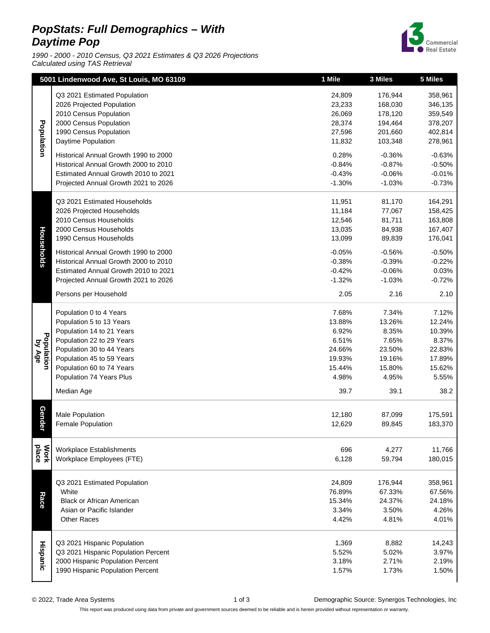## **PopStats: Full Demographics – With Daytime Pop**

1990 - 2000 - 2010 Census, Q3 2021 Estimates & Q3 2026 Projections Calculated using TAS Retrieval



|                      | 5001 Lindenwood Ave, St Louis, MO 63109                                                                                                                                                                                                        | 1 Mile                                                                           | 3 Miles                                                                          | 5 Miles                                                                           |
|----------------------|------------------------------------------------------------------------------------------------------------------------------------------------------------------------------------------------------------------------------------------------|----------------------------------------------------------------------------------|----------------------------------------------------------------------------------|-----------------------------------------------------------------------------------|
| Population           | Q3 2021 Estimated Population<br>2026 Projected Population<br>2010 Census Population<br>2000 Census Population<br>1990 Census Population<br>Daytime Population                                                                                  | 24,809<br>23,233<br>26,069<br>28,374<br>27,596<br>11,832                         | 176,944<br>168,030<br>178,120<br>194,464<br>201,660<br>103,348                   | 358,961<br>346,135<br>359,549<br>378,207<br>402,814<br>278,961                    |
|                      | Historical Annual Growth 1990 to 2000<br>Historical Annual Growth 2000 to 2010<br>Estimated Annual Growth 2010 to 2021<br>Projected Annual Growth 2021 to 2026                                                                                 | 0.28%<br>$-0.84%$<br>$-0.43%$<br>$-1.30%$                                        | $-0.36%$<br>$-0.87%$<br>$-0.06%$<br>$-1.03%$                                     | $-0.63%$<br>$-0.50%$<br>$-0.01%$<br>$-0.73%$                                      |
| Households           | Q3 2021 Estimated Households                                                                                                                                                                                                                   | 11,951                                                                           | 81,170                                                                           | 164,291                                                                           |
|                      | 2026 Projected Households                                                                                                                                                                                                                      | 11,184                                                                           | 77,067                                                                           | 158,425                                                                           |
|                      | 2010 Census Households                                                                                                                                                                                                                         | 12,546                                                                           | 81,711                                                                           | 163,808                                                                           |
|                      | 2000 Census Households                                                                                                                                                                                                                         | 13,035                                                                           | 84,938                                                                           | 167,407                                                                           |
|                      | 1990 Census Households                                                                                                                                                                                                                         | 13,099                                                                           | 89,839                                                                           | 176,041                                                                           |
|                      | Historical Annual Growth 1990 to 2000                                                                                                                                                                                                          | $-0.05%$                                                                         | $-0.56%$                                                                         | $-0.50%$                                                                          |
|                      | Historical Annual Growth 2000 to 2010                                                                                                                                                                                                          | $-0.38%$                                                                         | $-0.39%$                                                                         | $-0.22%$                                                                          |
|                      | Estimated Annual Growth 2010 to 2021                                                                                                                                                                                                           | $-0.42%$                                                                         | $-0.06%$                                                                         | 0.03%                                                                             |
|                      | Projected Annual Growth 2021 to 2026                                                                                                                                                                                                           | $-1.32%$                                                                         | $-1.03%$                                                                         | $-0.72%$                                                                          |
|                      | Persons per Household                                                                                                                                                                                                                          | 2.05                                                                             | 2.16                                                                             | 2.10                                                                              |
| Population<br>by Age | Population 0 to 4 Years<br>Population 5 to 13 Years<br>Population 14 to 21 Years<br>Population 22 to 29 Years<br>Population 30 to 44 Years<br>Population 45 to 59 Years<br>Population 60 to 74 Years<br>Population 74 Years Plus<br>Median Age | 7.68%<br>13.88%<br>6.92%<br>6.51%<br>24.66%<br>19.93%<br>15.44%<br>4.98%<br>39.7 | 7.34%<br>13.26%<br>8.35%<br>7.65%<br>23.50%<br>19.16%<br>15.80%<br>4.95%<br>39.1 | 7.12%<br>12.24%<br>10.39%<br>8.37%<br>22.83%<br>17.89%<br>15.62%<br>5.55%<br>38.2 |
| Gender               | <b>Male Population</b>                                                                                                                                                                                                                         | 12,180                                                                           | 87,099                                                                           | 175,591                                                                           |
|                      | <b>Female Population</b>                                                                                                                                                                                                                       | 12,629                                                                           | 89,845                                                                           | 183,370                                                                           |
| place                | <b>Workplace Establishments</b>                                                                                                                                                                                                                | 696                                                                              | 4,277                                                                            | 11,766                                                                            |
| <b>Work</b>          | Workplace Employees (FTE)                                                                                                                                                                                                                      | 6,128                                                                            | 59,794                                                                           | 180,015                                                                           |
| Race                 | Q3 2021 Estimated Population                                                                                                                                                                                                                   | 24,809                                                                           | 176,944                                                                          | 358,961                                                                           |
|                      | White                                                                                                                                                                                                                                          | 76.89%                                                                           | 67.33%                                                                           | 67.56%                                                                            |
|                      | <b>Black or African American</b>                                                                                                                                                                                                               | 15.34%                                                                           | 24.37%                                                                           | 24.18%                                                                            |
|                      | Asian or Pacific Islander                                                                                                                                                                                                                      | 3.34%                                                                            | 3.50%                                                                            | 4.26%                                                                             |
|                      | <b>Other Races</b>                                                                                                                                                                                                                             | 4.42%                                                                            | 4.81%                                                                            | 4.01%                                                                             |
| Hispanic             | Q3 2021 Hispanic Population                                                                                                                                                                                                                    | 1,369                                                                            | 8,882                                                                            | 14,243                                                                            |
|                      | Q3 2021 Hispanic Population Percent                                                                                                                                                                                                            | 5.52%                                                                            | 5.02%                                                                            | 3.97%                                                                             |
|                      | 2000 Hispanic Population Percent                                                                                                                                                                                                               | 3.18%                                                                            | 2.71%                                                                            | 2.19%                                                                             |
|                      | 1990 Hispanic Population Percent                                                                                                                                                                                                               | 1.57%                                                                            | 1.73%                                                                            | 1.50%                                                                             |

© 2022, Trade Area Systems 1 of 3 Demographic Source: Synergos Technologies, Inc

This report was produced using data from private and government sources deemed to be reliable and is herein provided without representation or warranty.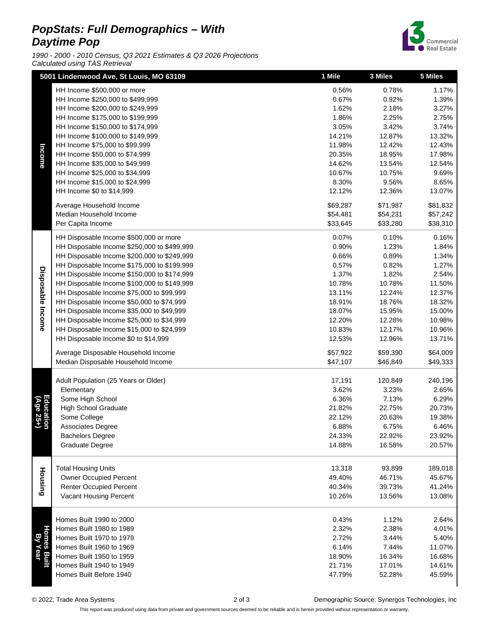## **PopStats: Full Demographics – With Daytime Pop**

1990 - 2000 - 2010 Census, Q3 2021 Estimates & Q3 2026 Projections Calculated using TAS Retrieval



|                      | 5001 Lindenwood Ave, St Louis, MO 63109                                                |                  | 3 Miles          | 5 Miles          |
|----------------------|----------------------------------------------------------------------------------------|------------------|------------------|------------------|
|                      | HH Income \$500,000 or more                                                            | 0.56%            | 0.78%            | 1.17%            |
|                      | HH Income \$250,000 to \$499,999                                                       | 0.67%            | 0.92%            | 1.39%            |
|                      | HH Income \$200,000 to \$249,999                                                       | 1.62%            | 2.18%            | 3.27%            |
|                      | HH Income \$175,000 to \$199,999                                                       | 1.86%            | 2.25%            | 2.75%            |
|                      | HH Income \$150,000 to \$174,999                                                       | 3.05%            | 3.42%            | 3.74%            |
| Income               | HH Income \$100,000 to \$149,999                                                       | 14.21%           | 12.87%           | 13.32%           |
|                      | HH Income \$75,000 to \$99,999                                                         | 11.98%           | 12.42%           | 12.43%           |
|                      | HH Income \$50,000 to \$74,999                                                         | 20.35%           | 18.95%           | 17.98%           |
|                      | HH Income \$35,000 to \$49,999                                                         | 14.62%           | 13.54%           | 12.54%           |
|                      | HH Income \$25,000 to \$34,999                                                         | 10.67%           | 10.75%           | 9.69%            |
|                      | HH Income \$15,000 to \$24,999                                                         | 8.30%            | 9.56%            | 8.65%            |
|                      | HH Income \$0 to \$14,999                                                              | 12.12%           | 12.36%           | 13.07%           |
|                      | Average Household Income                                                               | \$69,287         | \$71,987         | \$81,832         |
|                      | Median Household Income                                                                | \$54,481         | \$54,231         | \$57,242         |
|                      | Per Capita Income                                                                      | \$33,645         | \$33,280         | \$38,310         |
|                      | HH Disposable Income \$500,000 or more                                                 | 0.07%            | 0.10%            | 0.16%            |
|                      | HH Disposable Income \$250,000 to \$499,999                                            | 0.90%            | 1.23%            | 1.84%            |
|                      | HH Disposable Income \$200,000 to \$249,999                                            | 0.66%            | 0.89%            | 1.34%            |
|                      | HH Disposable Income \$175,000 to \$199,999                                            | 0.57%            | 0.82%            | 1.27%            |
|                      | HH Disposable Income \$150,000 to \$174,999                                            | 1.37%            | 1.82%            | 2.54%            |
| Disposable Income    | HH Disposable Income \$100,000 to \$149,999                                            | 10.78%           | 10.78%           | 11.50%           |
|                      | HH Disposable Income \$75,000 to \$99,999                                              | 13.11%           | 12.24%           | 12.37%           |
|                      | HH Disposable Income \$50,000 to \$74,999                                              | 18.91%           | 18.76%           | 18.32%           |
|                      | HH Disposable Income \$35,000 to \$49,999                                              | 18.07%           | 15.95%           | 15.00%           |
|                      | HH Disposable Income \$25,000 to \$34,999<br>HH Disposable Income \$15,000 to \$24,999 | 12.20%<br>10.83% | 12.28%<br>12.17% | 10.98%<br>10.96% |
|                      | HH Disposable Income \$0 to \$14,999                                                   | 12.53%           | 12.96%           | 13.71%           |
|                      |                                                                                        |                  |                  |                  |
|                      | Average Disposable Household Income                                                    | \$57,922         | \$59,390         | \$64,009         |
|                      | Median Disposable Household Income                                                     | \$47,107         | \$46,849         | \$49,333         |
|                      | Adult Population (25 Years or Older)                                                   | 17,191           | 120,849          | 240,196          |
|                      | Elementary                                                                             | 3.62%            | 3.23%            | 2.65%            |
|                      | Some High School                                                                       | 6.36%            | 7.13%            | 6.29%            |
| Educ:<br>(Age        | <b>High School Graduate</b>                                                            | 21.82%           | 22.75%           | 20.73%           |
| $\frac{31}{25+}$     | Some College                                                                           | 22.12%           | 20.63%           | 19.38%           |
|                      | Associates Degree                                                                      | 6.88%            | 6.75%            | 6.46%            |
|                      | <b>Bachelors Degree</b>                                                                | 24.33%           | 22.92%           | 23.92%           |
|                      | Graduate Degree                                                                        | 14.88%           | 16.58%           | 20.57%           |
|                      |                                                                                        |                  |                  |                  |
| Housing              | <b>Total Housing Units</b>                                                             | 13,318           | 93,899           | 189,018          |
|                      | Owner Occupied Percent                                                                 | 49.40%           | 46.71%           | 45.67%           |
|                      | <b>Renter Occupied Percent</b>                                                         | 40.34%           | 39.73%           | 41.24%           |
|                      | Vacant Housing Percent                                                                 | 10.26%           | 13.56%           | 13.08%           |
| Homes Bui<br>By Year | Homes Built 1990 to 2000                                                               | 0.43%            | 1.12%            | 2.64%            |
|                      | Homes Built 1980 to 1989                                                               | 2.32%            | 2.38%            | 4.01%            |
|                      | Homes Built 1970 to 1979                                                               | 2.72%            | 3.44%            | 5.40%            |
|                      | Homes Built 1960 to 1969                                                               | 6.14%            | 7.44%            | 11.07%           |
|                      | Homes Built 1950 to 1959                                                               | 18.90%           | 16.34%           | 16.68%           |
|                      | Homes Built 1940 to 1949                                                               | 21.71%           | 17.01%           | 14.61%           |
|                      | Homes Built Before 1940                                                                | 47.79%           | 52.28%           | 45.59%           |
|                      |                                                                                        |                  |                  |                  |

© 2022, Trade Area Systems 2 of 3 Demographic Source: Synergos Technologies, Inc

This report was produced using data from private and government sources deemed to be reliable and is herein provided without representation or warranty.